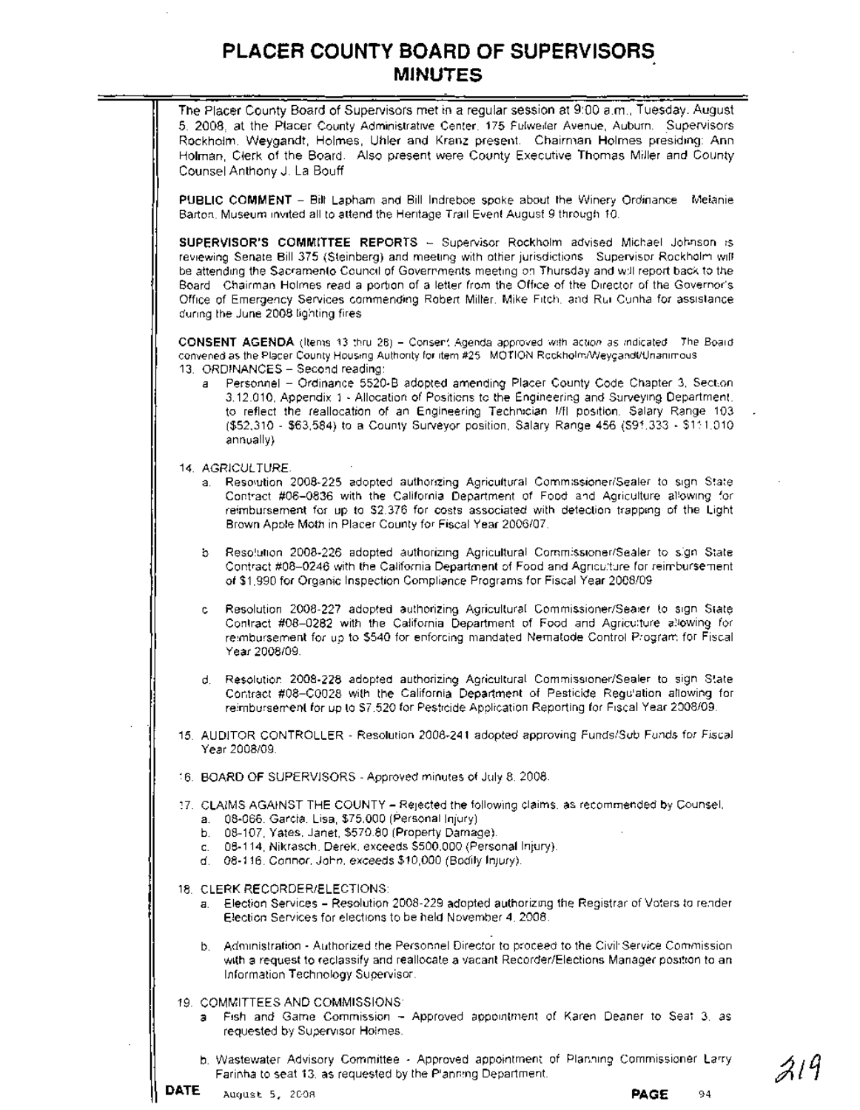| The Placer County Board of Supervisors met in a regular session at 9:00 a.m., Tuesday. August  |
|------------------------------------------------------------------------------------------------|
| 5. 2008, at the Placer County Administrative Center, 175 Fulweller Avenue, Auburn. Supervisors |
| Rockholm, Weygandt, Holmes, Uhler and Kranz present. Chairman Holmes presiding: Ann            |
| Holman, Clerk of the Board. Also present were County Executive Thomas Miller and County        |
| Counsel Anthony J. La Bouff                                                                    |

**PUBLIC COMMENT** - Bill Lapham and Bill Indreboe spoke about the Winery Ordinance. Melanie Barton, Museum invited all to attend the Heritage Trail Event August 9 through 10.

**SUPERVISOR'S** COMMITTEE REPORTS - Supervisor. Rockholm advised Michael Johnson is reviewing Senate Bill 375 (Steinberg) and meeting with other jurisdictions Supervisor Rockholm will be attending the Sacramento Council of Governments meeting on Thursday and will report back to the Board. Chairman Holmes read a portion of a letter from the Office of the Director of the Governor's Office of Emergency Services commending Robert Miller, Mike Fitch, and Rui Cunha for assistance during the June 2008 lighting fires

**CONSENT AGENDA** (Items 13 thru 28) - Consent Agenda approved with action as indicated. The Board convened as the Placer County Housing Authority for item #25. MOTION Reckholm/Weygandt/Unanimous 13. ORDINANCES - Second reading:

- Personnel Ordinance 5520-B adopted amending Placer County Code Chapter 3, Section 3.12.010, Appendix 1 - Allocation of Positions to the Engineering and Surveying Department, to reflect the reallocation of an Engineering Technician 1/11 position, Salary Range 103 (\$52,310 - \$63,584) to a County Surveyor position, Salary Range 456 (\$91,333 - \$111,010 annually).
- 14. AGRICULTURE
	- a. Resolution 2008-225 adopted authorizing Agricultural Commissioner/Sealer to sign State Contract #06-0836 with the California Department of Food and Agriculture allowing for reimbursement for up to \$2,376 for costs associated with detection trapping of the Light Brown Apple Moth in Placer County for Fiscal Year 2006/07.
	- b. Resolution 2008-226 adopted authorizing Agricultural Commissioner/Sealer to sign State Contract #08-0246 with the California Department of Food and Agriculture for reimbursement of \$1,990 for Organic Inspection Compliance Programs for Fiscal Year 2008/09
	- Resolution 2008-227 adopted authorizing Agricultural Commissioner/Sealer to sign State Contract #08-0282 with the California Department of Food and Agriculture allowing for reimbursement for up to \$540 for enforcing mandated Nematode Control Program for Fiscal Year 2008/09.
	- d. Resolution 2008-228 adopted authorizing Agricultural Commissioner/Sealer to sign State Contract #08-C0028 with the California Department of Pesticide Regulation allowing for reimbursement for up to \$7,520 for Pesticide Application Reporting for Fiscal Year 2008/09.
- 15. AUDITOR CONTROLLER Resolution 2008-241 adopted approving Funds/Sub Funds for Fiscal Year 2008109.
- 16. BOARD OF SUPERVISORS Approved minutes of July 8, 2008.
- 17. CLAIMS AGAINST **THE** COUNTY Rejected the fol/owing claims, as recommended by Counsel:
	- a. 08-066, Garcia, Lisa, \$75,000 (Personal Injury).
	- b. 08-107, Yates, Janet, \$570.80 (Property Damage).
	- c. 08-114, Nikrasch, Derek, exceeds \$500,000 (Personal Injury).
	- d. 08-116, Connor, John, exceeds \$10,000 (Bodily Injury).
- 18. CLERK RECORDER/ELECTIONS:
	- a. Election Services.- Resolution 2008-229 adopted authorizing the Registrar of Voters to render Election Services for elections to be held November 4,2008.
	- b. Administration Authorized the Personnel Director to proceed to the Civil' Service Commission with a request to reclassify and reallocate a vacant Recorder/Elections Manager position to an Information Technology Supervisor.
- 19 COMMITTEES AND COMMISSIONS
	- a. Fish and Game Commission Approved appointment of Karen Deaner to Seat 3, as requested by Supervisor Holmes.
	- b. Wastewater AdVisory Committee Approved appointment of Planning Commissioner Larry Farinha to seat 13, as requested by the Planning Department.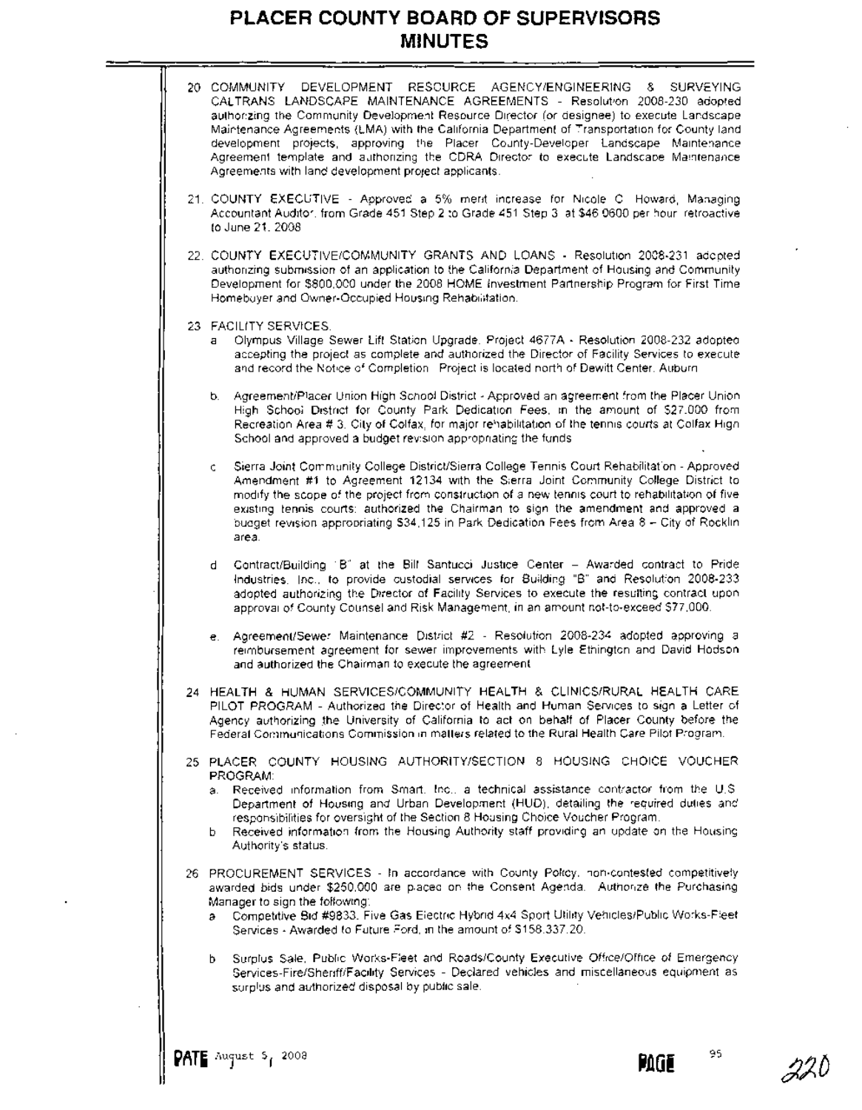

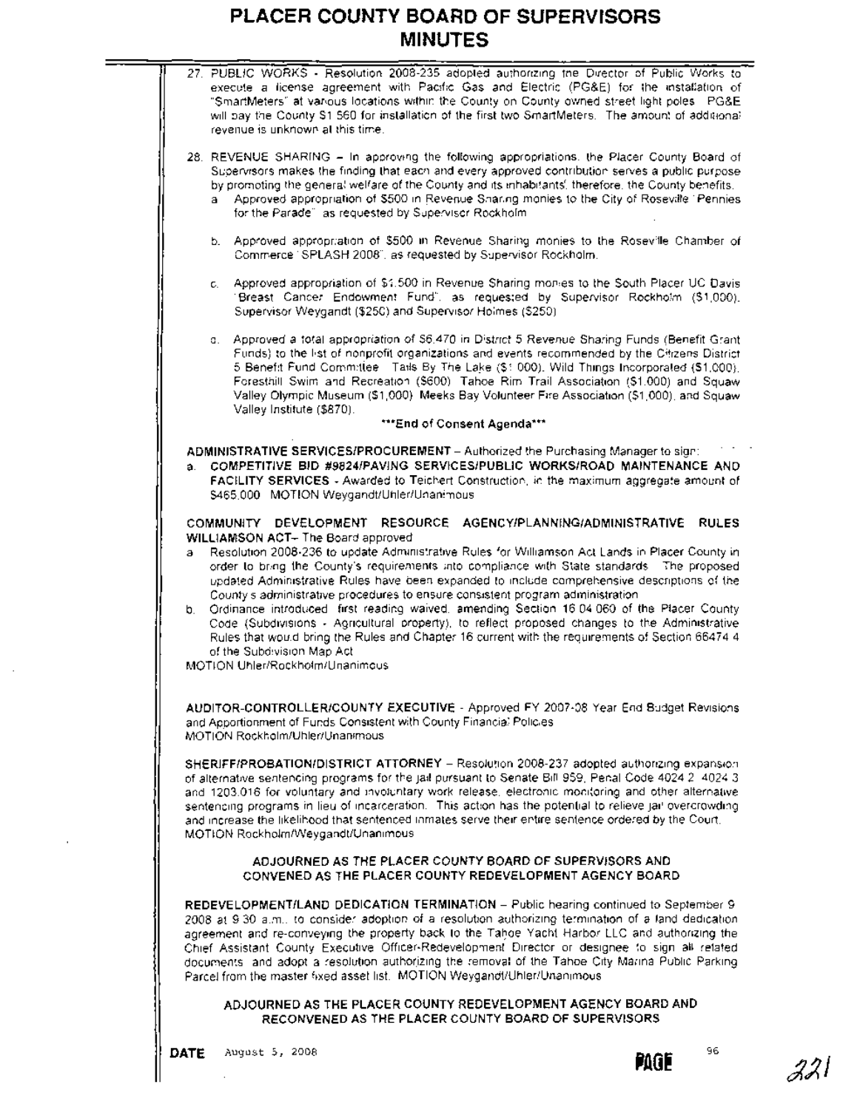

**DATE** August 5, 2008 96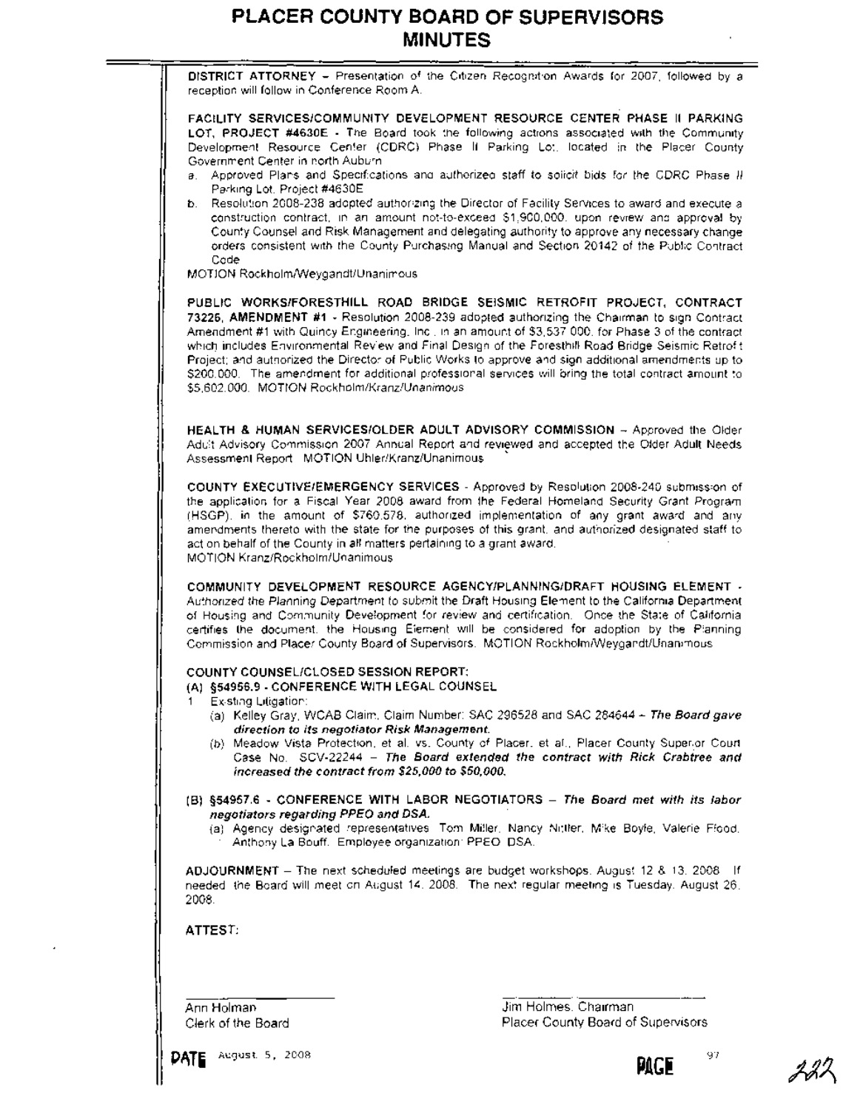



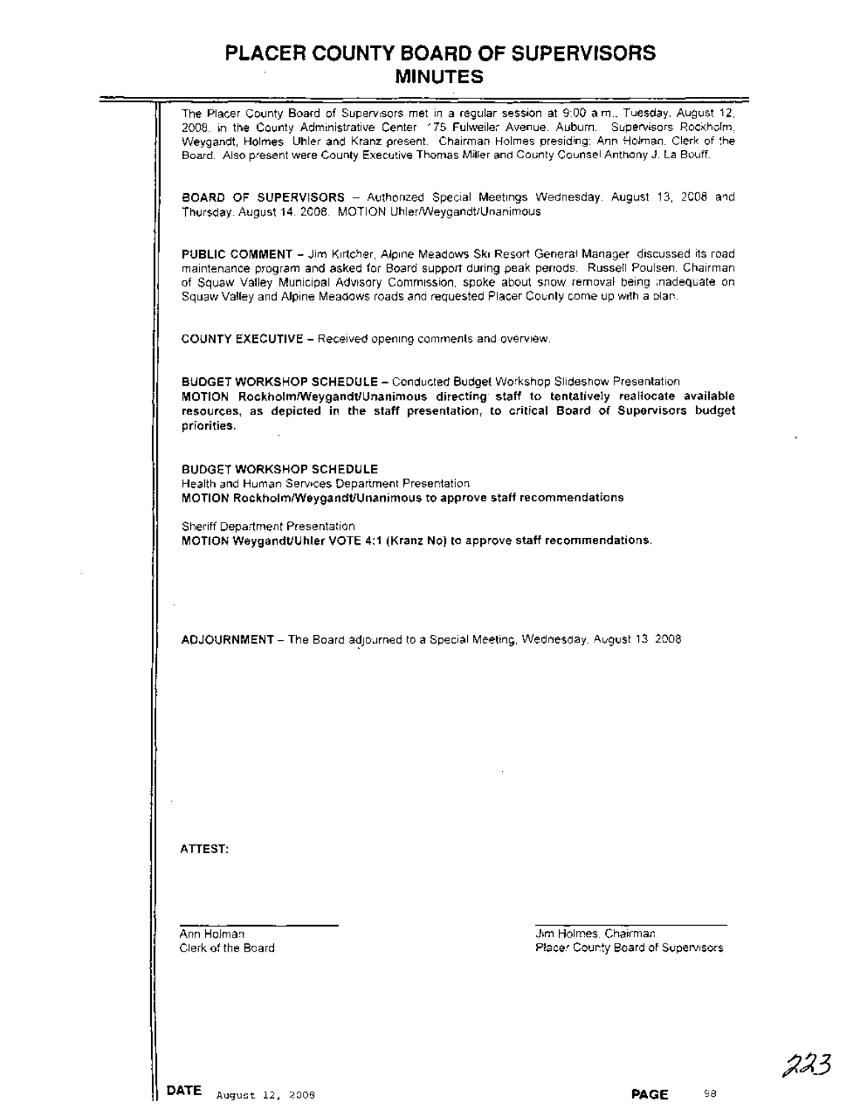The Placer County Board of Supervisors met in a regular session at 9:00 a.m., Tuesday, August 12, 2008, in the County Administrative Center, 175 Fulweiler Avenue, Auburn. Supervisors Rockholm, Weygandt, Holmes, Uhler and Kranz present. Chairman Holmes presiding; Ann Holman, Clerk of the Board. Also present were County Executive Thomas Miller and County Counsel Anthony J. La Bouff. **BOARD OF SUPERVISORS -** Authorized Special Meetings Wednesday, August 13, 2008 and Thursday, August 14, 2008. MOTION UhlerlWeygandt/Unanimous **PUBLIC COMMENT -** Jim Kirtcher, Alpine Meadows Ski Resort General Manager, discussed its road maintenance program and asked for Board support during peak periods. Russell Poulsen, Chairman of Squaw Valley Municipal Advisory Commission, spoke about snow removal being inadequate on Squaw Valley and Alpine Meadows roads and requested Placer County come up with a plan. **COUNTY EXECUTIVE -** Received opening comments and overview. **BUDGET WORKSHOP SCHEDULE-** Conducted Budget Workshop Slideshow Presentation **MOTION RockholmlWeygandt/Unanimous directing' staff to tentatively reallocate available resources, as depicted in the staff presentation, to critical Board of Supervisors budget priorities. BUDGET WORKSHOP SCHEDULE** Health and Human Services Department Presentation. **MOTION RockholmlWeygandt/Unanimous to approve staff recommendations.** Sheriff Department Presentation **MOTION Weygandt/Uhler VOTE 4:1 (Kranz No) to approve staff recommendations. ADJOURNMENT** - The Board adjourned to a Special Meeting, Wednesday, August 13, 2008 **ATTEST:** Ann Holman Clerk of the Board Jim Holmes, Chairman Placer County Board of Supervisors